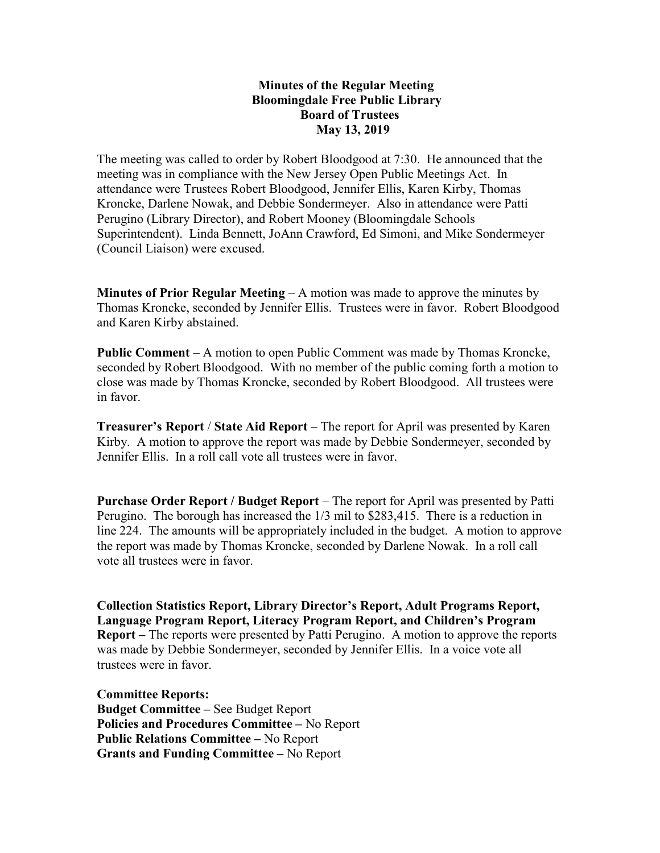## Minutes of the Regular Meeting Bloomingdale Free Public Library Board of Trustees May 13, 2019

The meeting was called to order by Robert Bloodgood at 7:30. He announced that the meeting was in compliance with the New Jersey Open Public Meetings Act. In attendance were Trustees Robert Bloodgood, Jennifer Ellis, Karen Kirby, Thomas Kroncke, Darlene Nowak, and Debbie Sondermeyer. Also in attendance were Patti Perugino (Library Director), and Robert Mooney (Bloomingdale Schools Superintendent). Linda Bennett, JoAnn Crawford, Ed Simoni, and Mike Sondermeyer (Council Liaison) were excused.

**Minutes of Prior Regular Meeting – A** motion was made to approve the minutes by Thomas Kroncke, seconded by Jennifer Ellis. Trustees were in favor. Robert Bloodgood and Karen Kirby abstained.

Public Comment – A motion to open Public Comment was made by Thomas Kroncke, seconded by Robert Bloodgood. With no member of the public coming forth a motion to close was made by Thomas Kroncke, seconded by Robert Bloodgood. All trustees were in favor.

Treasurer's Report / State Aid Report – The report for April was presented by Karen Kirby. A motion to approve the report was made by Debbie Sondermeyer, seconded by Jennifer Ellis. In a roll call vote all trustees were in favor.

Purchase Order Report / Budget Report – The report for April was presented by Patti Perugino. The borough has increased the 1/3 mil to \$283,415. There is a reduction in line 224. The amounts will be appropriately included in the budget. A motion to approve the report was made by Thomas Kroncke, seconded by Darlene Nowak. In a roll call vote all trustees were in favor.

Collection Statistics Report, Library Director's Report, Adult Programs Report, Language Program Report, Literacy Program Report, and Children's Program Report – The reports were presented by Patti Perugino. A motion to approve the reports was made by Debbie Sondermeyer, seconded by Jennifer Ellis. In a voice vote all trustees were in favor.

Committee Reports: Budget Committee – See Budget Report Policies and Procedures Committee – No Report Public Relations Committee – No Report Grants and Funding Committee – No Report